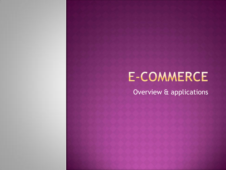# **E-COMMERCE**

Overview & applications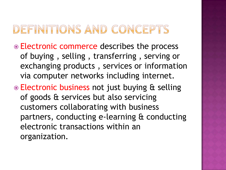# DEFINITIONS AND CONCEPTS

- Electronic commerce describes the process of buying , selling , transferring , serving or exchanging products , services or information via computer networks including internet.
- Electronic business not just buying & selling of goods & services but also servicing customers collaborating with business partners, conducting e-learning & conducting electronic transactions within an organization.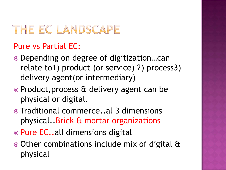# THE EC LANDSCAPE

#### Pure vs Partial EC:

- Depending on degree of digitization…can relate to1) product (or service) 2) process3) delivery agent(or intermediary)
- Product, process & delivery agent can be physical or digital.
- Traditional commerce..al 3 dimensions physical..Brick & mortar organizations
- Pure EC..all dimensions digital
- Other combinations include mix of digital & physical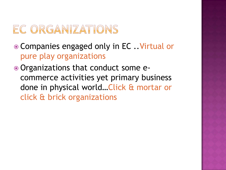### EC ORGANIZATIONS

- Companies engaged only in EC ..Virtual or pure play organizations
- Organizations that conduct some ecommerce activities yet primary business done in physical world…Click & mortar or click & brick organizations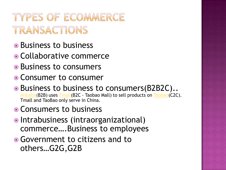# TYPES OF ECOMMERCE TRANSACTIONS

- Business to business
- Collaborative commerce
- Business to consumers
- Consumer to consumer
- **Business to business to consumers (B2B2C)..** [Alibaba](http://alibaba.com/)(B2B) uses [Tmall](http://tmall.com/)(B2C - Taobao Mall) to sell products on [Taobao\(](http://taobao.com/)C2C). Tmall and TaoBao only serve in China.
- Consumers to business
- Intrabusiness (intraorganizational) commerce….Business to employees
- Government to citizens and to others…G2G,G2B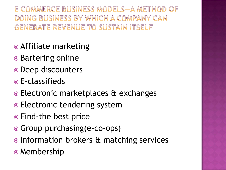E COMMERCE BUSINESS MODELS-A METHOD OF DOING BUSINESS BY WHICH A COMPANY CAN **GENERATE REVENUE TO SUSTAIN ITSELF** 

- Affiliate marketing
- Bartering online
- Deep discounters
- E-classifieds
- Electronic marketplaces & exchanges
- Electronic tendering system
- Find-the best price
- Group purchasing(e-co-ops)
- Information brokers & matching services
- Membership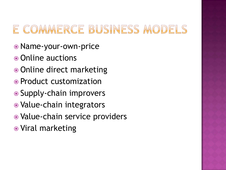# E COMMERCE BUSINESS MODELS

- Name-your-own-price
- Online auctions
- Online direct marketing
- Product customization
- Supply-chain improvers
- Value-chain integrators
- Value-chain service providers
- Viral marketing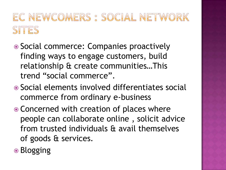# EC NEWCOMERS : SOCIAL NETWORK SITES

- Social commerce: Companies proactively finding ways to engage customers, build relationship & create communities…This trend "social commerce".
- Social elements involved differentiates social commerce from ordinary e-business
- Concerned with creation of places where people can collaborate online , solicit advice from trusted individuals & avail themselves of goods & services.
- **■** Blogging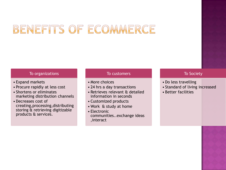# BENEFITS OF ECOMMERCE

#### To organizations

- Expand markets
- Procure rapidly at less cost
- Shortens or eliminates marketing distribution channels
- Decreases cost of creating,processing,distributing storing & retrieving digitizable products & services.

#### To customers

- More choices
- 24 hrs a day transactions
- Retrieves relevant & detailed information in seconds
- Customized products
- Work & study at home
- Electronic communities..exchange ideas ,interact

#### To Society

- Do less travelling
- Standard of living increased
- Better facilities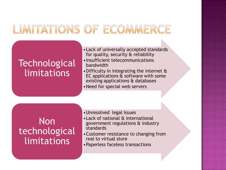## LIMITATIONS OF ECOMMERCE

#### **Technological** limitations

- •Lack of universally accepted standards for quality, security & reliability •Insufficient telecommunications bandwidth
- •Difficulty in integrating the internet & EC applications  $\hat{a}$  software with some existing applications & databases
- •Need for special web servers

#### **Non** technological limitations

•Unresolved legal issues •Lack of national & international government regulations & industry standards •Customer resistance to changing from real to virtual store

•Paperless faceless transactions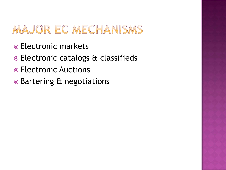# MAJOR EC MECHANISMS

- Electronic markets
- Electronic catalogs & classifieds
- Electronic Auctions
- Bartering & negotiations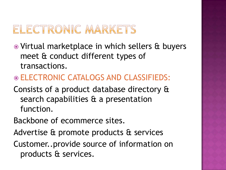## ELECTRONIC MARKETS

- Virtual marketplace in which sellers & buyers meet & conduct different types of transactions.
- ELECTRONIC CATALOGS AND CLASSIFIEDS:
- Consists of a product database directory & search capabilities & a presentation function.
- Backbone of ecommerce sites.
- Advertise & promote products & services
- Customer..provide source of information on products & services.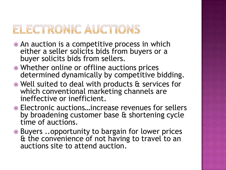## ELECTRONIC AUCTIONS

- An auction is a competitive process in which either a seller solicits bids from buyers or a buyer solicits bids from sellers.
- Whether online or offline auctions prices determined dynamically by competitive bidding.
- Well suited to deal with products & services for which conventional marketing channels are ineffective or inefficient.
- Electronic auctions…increase revenues for sellers by broadening customer base & shortening cycle time of auctions.
- Buyers ..opportunity to bargain for lower prices & the convenience of not having to travel to an auctions site to attend auction.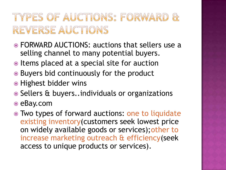# TYPES OF AUCTIONS: FORWARD & REVERSE AUCTIONS

- FORWARD AUCTIONS: auctions that sellers use a selling channel to many potential buyers.
- $\bullet$  Items placed at a special site for auction
- Buyers bid continuously for the product
- Highest bidder wins
- **Sellers & buyers..individuals or organizations**
- eBay.com
- Two types of forward auctions: one to liquidate existing inventory(customers seek lowest price on widely available goods or services);other to increase marketing outreach & efficiency(seek access to unique products or services).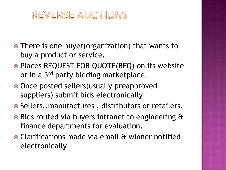#### REVERSE AUCTIONS

- There is one buyer(organization) that wants to buy a product or service.
- Places REQUEST FOR QUOTE(RFQ) on its website or in a 3<sup>rd</sup> party bidding marketplace.
- Once posted sellers(usually preapproved suppliers) submit bids electronically.
- Sellers..manufactures, distributors or retailers.
- Bids routed via buyers intranet to engineering & finance departments for evaluation.
- Clarifications made via email & winner notified electronically.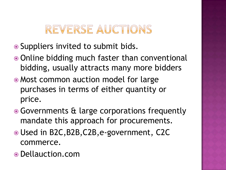# REVERSE AUCTIONS

- Suppliers invited to submit bids.
- Online bidding much faster than conventional bidding, usually attracts many more bidders
- Most common auction model for large purchases in terms of either quantity or price.
- **Governments & large corporations frequently** mandate this approach for procurements.
- Used in B2C,B2B,C2B,e-government, C2C commerce.
- Dellauction.com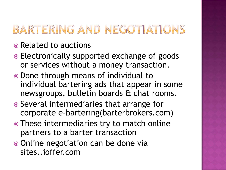# BARTERING AND NEGOTIATIONS

#### • Related to auctions

- Electronically supported exchange of goods or services without a money transaction.
- Done through means of individual to individual bartering ads that appear in some newsgroups, bulletin boards & chat rooms.
- Several intermediaries that arrange for corporate e-bartering(barterbrokers.com)
- These intermediaries try to match online partners to a barter transaction
- Online negotiation can be done via sites..ioffer.com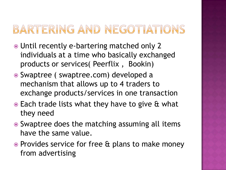# BARTERING AND NEGOTIATIONS

- Until recently e-bartering matched only 2 individuals at a time who basically exchanged products or services( Peerflix , Bookin)
- Swaptree ( swaptree.com) developed a mechanism that allows up to 4 traders to exchange products/services in one transaction
- Each trade lists what they have to give & what they need
- **■** Swaptree does the matching assuming all items have the same value.
- **Provides service for free & plans to make money** from advertising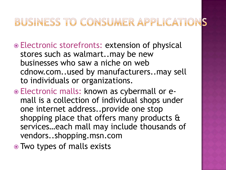#### BUSINESS TO CONSUMER APPLICATIONS

- Electronic storefronts: extension of physical stores such as walmart..may be new businesses who saw a niche on web cdnow.com..used by manufacturers..may sell to individuals or organizations.
- Electronic malls: known as cybermall or emall is a collection of individual shops under one internet address..provide one stop shopping place that offers many products & services…each mall may include thousands of vendors..shopping.msn.com
- Two types of malls exists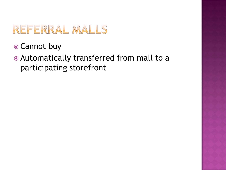## REFERRAL MALLS

- Cannot buy
- Automatically transferred from mall to a participating storefront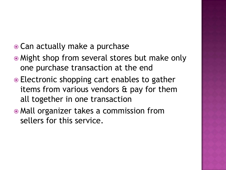- Can actually make a purchase
- Might shop from several stores but make only one purchase transaction at the end
- Electronic shopping cart enables to gather items from various vendors & pay for them all together in one transaction
- Mall organizer takes a commission from sellers for this service.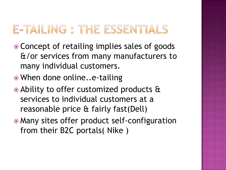# E-TAILING : THE ESSENTIALS

- Concept of retailing implies sales of goods &/or services from many manufacturers to many individual customers.
- When done online..e-tailing
- Ability to offer customized products & services to individual customers at a reasonable price & fairly fast(Dell)
- Many sites offer product self-configuration from their B2C portals( Nike )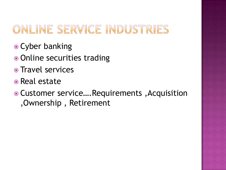# ONLINE SERVICE INDUSTRIES

- Cyber banking
- Online securities trading
- Travel services
- Real estate
- Customer service….Requirements ,Acquisition ,Ownership , Retirement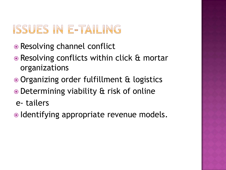# ISSUES IN E-TAILING

- Resolving channel conflict
- **Resolving conflicts within click & mortar** organizations
- Organizing order fulfillment & logistics
- Determining viability & risk of online
- e- tailers
- Identifying appropriate revenue models.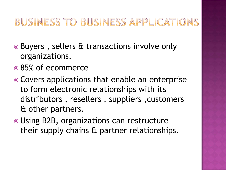#### BUSINESS TO BUSINESS APPLICATIONS

- Buyers , sellers & transactions involve only organizations.
- 85% of ecommerce
- Covers applications that enable an enterprise to form electronic relationships with its distributors , resellers , suppliers ,customers & other partners.
- Using B2B, organizations can restructure their supply chains & partner relationships.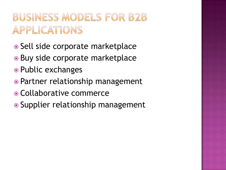# **BUSINESS MODELS FOR B2B** APPLICATIONS

- Sell side corporate marketplace
- Buy side corporate marketplace
- Public exchanges
- Partner relationship management
- Collaborative commerce
- Supplier relationship management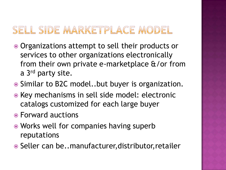#### SELL SIDE MARKETPLACE MODEL

- Organizations attempt to sell their products or services to other organizations electronically from their own private e-marketplace &/or from a 3rd party site.
- Similar to B2C model..but buyer is organization.
- Key mechanisms in sell side model: electronic catalogs customized for each large buyer
- Forward auctions
- **Works well for companies having superb** reputations
- Seller can be..manufacturer, distributor, retailer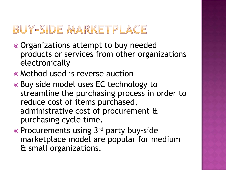## BUY-SIDE MARKETPLACE

- Organizations attempt to buy needed products or services from other organizations electronically
- Method used is reverse auction
- Buy side model uses EC technology to streamline the purchasing process in order to reduce cost of items purchased, administrative cost of procurement & purchasing cycle time.
- Procurements using 3<sup>rd</sup> party buy-side marketplace model are popular for medium & small organizations.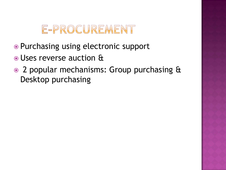## E-PROCUREMENT

- Purchasing using electronic support
- Uses reverse auction &
- 2 popular mechanisms: Group purchasing & Desktop purchasing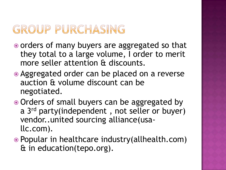# GROUP PURCHASING

- orders of many buyers are aggregated so that they total to a large volume, I order to merit more seller attention & discounts.
- Aggregated order can be placed on a reverse auction & volume discount can be negotiated.
- Orders of small buyers can be aggregated by a 3<sup>rd</sup> party(independent, not seller or buyer) vendor..united sourcing alliance(usallc.com).
- Popular in healthcare industry(allhealth.com) & in education(tepo.org).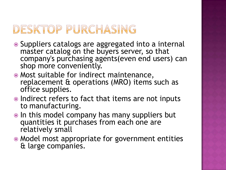# DESKTOP PURCHASING

- Suppliers catalogs are aggregated into a internal master catalog on the buyers server, so that company's purchasing agents(even end users) can shop more conveniently.
- Most suitable for indirect maintenance, replacement & operations (MRO) items such as office supplies.
- Indirect refers to fact that items are not inputs to manufacturing.
- $\bullet$  In this model company has many suppliers but quantities it purchases from each one are relatively small
- Model most appropriate for government entities & large companies.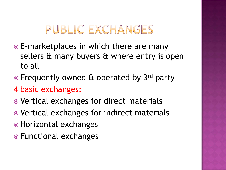# PUBLIC EXCHANGES

- E-marketplaces in which there are many sellers & many buyers & where entry is open to all
- Frequently owned & operated by 3rd party
- 4 basic exchanges:
- Vertical exchanges for direct materials
- Vertical exchanges for indirect materials
- Horizontal exchanges
- Functional exchanges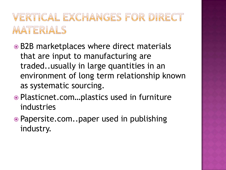# VERTICAL EXCHANGES FOR DIRECT MATERIALS

- B2B marketplaces where direct materials that are input to manufacturing are traded..usually in large quantities in an environment of long term relationship known as systematic sourcing.
- Plasticnet.com…plastics used in furniture industries
- Papersite.com..paper used in publishing industry.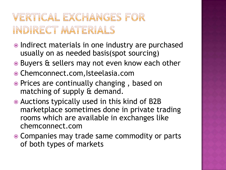# VERTICAL EXCHANGES FOR INDIRECT MATERIALS

- Indirect materials in one industry are purchased usually on as needed basis(spot sourcing)
- Buyers & sellers may not even know each other
- Chemconnect.com,Isteelasia.com
- Prices are continually changing, based on matching of supply & demand.
- Auctions typically used in this kind of B2B marketplace sometimes done in private trading rooms which are available in exchanges like chemconnect.com
- Companies may trade same commodity or parts of both types of markets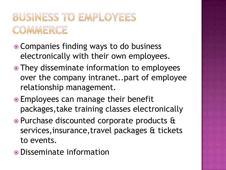# **BUSINESS TO EMPLOYEES** COMMERCE

- Companies finding ways to do business electronically with their own employees.
- They disseminate information to employees over the company intranet..part of employee relationship management.
- Employees can manage their benefit packages,take training classes electronically
- Purchase discounted corporate products & services,insurance,travel packages & tickets to events.
- Disseminate information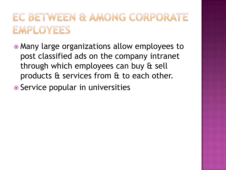# EC BETWEEN & AMONG CORPORATE EMPLOYEES

- Many large organizations allow employees to post classified ads on the company intranet through which employees can buy & sell products & services from & to each other.
- Service popular in universities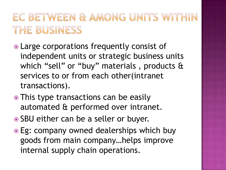# EC BETWEEN & AMONG UNITS WITHIN THE BUSINESS

- Large corporations frequently consist of independent units or strategic business units which "sell" or "buy" materials , products & services to or from each other(intranet transactions).
- This type transactions can be easily automated & performed over intranet.
- SBU either can be a seller or buyer.
- Eg: company owned dealerships which buy goods from main company…helps improve internal supply chain operations.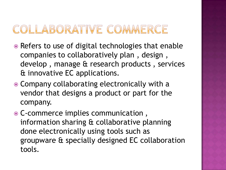# COLLABORATIVE COMMERCE

- Refers to use of digital technologies that enable companies to collaboratively plan , design , develop , manage & research products , services & innovative EC applications.
- Company collaborating electronically with a vendor that designs a product or part for the company.
- C-commerce implies communication , information sharing & collaborative planning done electronically using tools such as groupware & specially designed EC collaboration tools.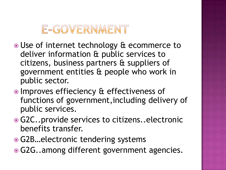# E-GOVERNMENT

- Use of internet technology & ecommerce to deliver information & public services to citizens, business partners & suppliers of government entities & people who work in public sector.
- Improves effieciency & effectiveness of functions of government,including delivery of public services.
- G2C..provide services to citizens..electronic benefits transfer.
- **G2B…electronic tendering systems**
- G2G..among different government agencies.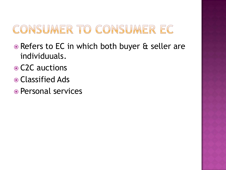# CONSUMER TO CONSUMER EC

- Refers to EC in which both buyer & seller are individuuals.
- **⊙ C2C auctions**
- Classified Ads
- Personal services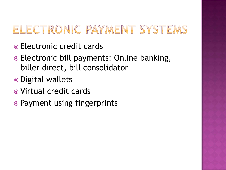# ELECTRONIC PAYMENT SYSTEMS

- Electronic credit cards
- Electronic bill payments: Online banking, biller direct, bill consolidator
- Digital wallets
- Virtual credit cards
- Payment using fingerprints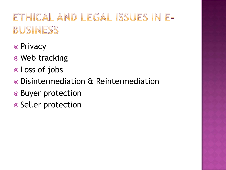# ETHICAL AND LEGAL ISSUES IN E-BUSINESS

- Privacy
- Web tracking
- Loss of jobs
- Disintermediation & Reintermediation
- Buyer protection
- Seller protection